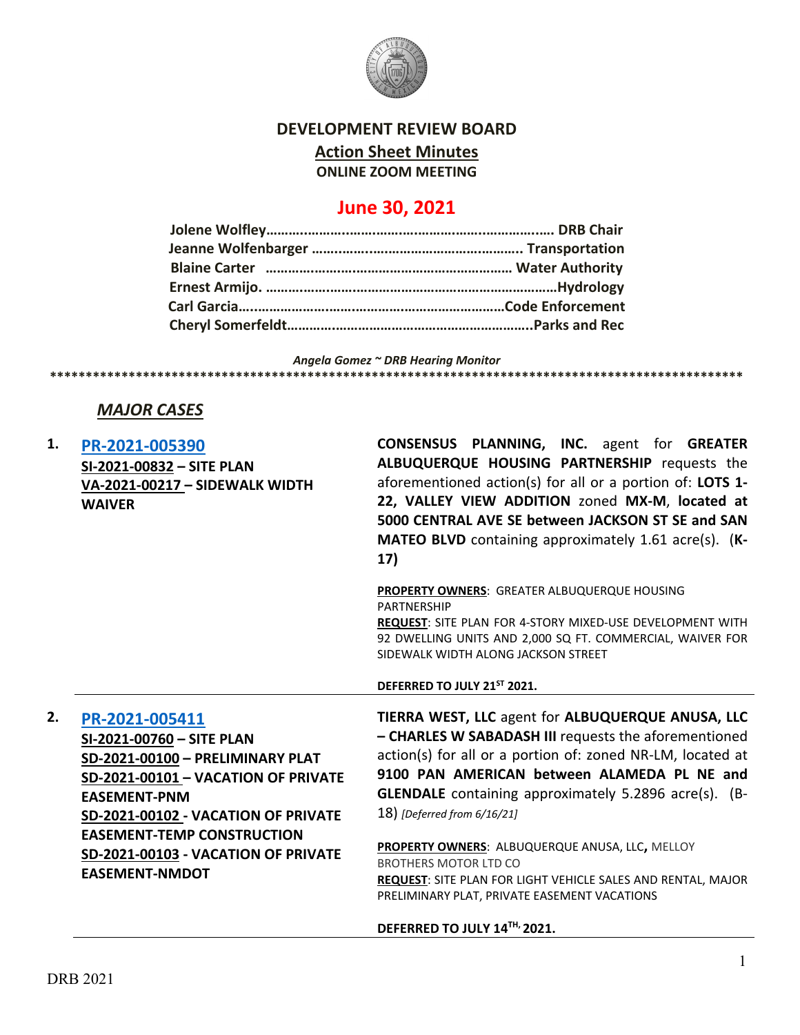

### **DEVELOPMENT REVIEW BOARD**

**Action Sheet Minutes**

**ONLINE ZOOM MEETING**

# **June 30, 2021**

*Angela Gomez ~ DRB Hearing Monitor*

**\*\*\*\*\*\*\*\*\*\*\*\*\*\*\*\*\*\*\*\*\*\*\*\*\*\*\*\*\*\*\*\*\*\*\*\*\*\*\*\*\*\*\*\*\*\*\*\*\*\*\*\*\*\*\*\*\*\*\*\*\*\*\*\*\*\*\*\*\*\*\*\*\*\*\*\*\*\*\*\*\*\*\*\*\*\*\*\*\*\*\*\*\*\*\*\*\***

# *MAJOR CASES*

**1. [PR-2021-005390](http://data.cabq.gov/government/planning/DRB/PR-2021-005390/DRB%20Submittals/PR-2021-005390_June_30_2021%20(Site%20plan,%20Sidewalk%20width%20waiver)/Application/) SI-2021-00832 – SITE PLAN VA-2021-00217 – SIDEWALK WIDTH WAIVER CONSENSUS PLANNING, INC.** agent for **GREATER ALBUQUERQUE HOUSING PARTNERSHIP** requests the aforementioned action(s) for all or a portion of: **LOTS 1- 22, VALLEY VIEW ADDITION** zoned **MX-M**, **located at 5000 CENTRAL AVE SE between JACKSON ST SE and SAN MATEO BLVD** containing approximately 1.61 acre(s). (**K-17) PROPERTY OWNERS**: GREATER ALBUQUERQUE HOUSING PARTNERSHIP **REQUEST**: SITE PLAN FOR 4-STORY MIXED-USE DEVELOPMENT WITH 92 DWELLING UNITS AND 2,000 SQ FT. COMMERCIAL, WAIVER FOR SIDEWALK WIDTH ALONG JACKSON STREET **DEFERRED TO JULY 21ST 2021. 2. [PR-2021-005411](http://data.cabq.gov/government/planning/DRB/PR-2021-005411/DRB%20Submittals/) SI-2021-00760 – SITE PLAN SD-2021-00100 – PRELIMINARY PLAT SD-2021-00101 – VACATION OF PRIVATE EASEMENT-PNM SD-2021-00102 - VACATION OF PRIVATE EASEMENT-TEMP CONSTRUCTION SD-2021-00103 - VACATION OF PRIVATE EASEMENT-NMDOT TIERRA WEST, LLC** agent for **ALBUQUERQUE ANUSA, LLC – CHARLES W SABADASH III** requests the aforementioned action(s) for all or a portion of: zoned NR-LM, located at **9100 PAN AMERICAN between ALAMEDA PL NE and GLENDALE** containing approximately 5.2896 acre(s). (B-18) *[Deferred from 6/16/21]* **PROPERTY OWNERS**: ALBUQUERQUE ANUSA, LLC**,** MELLOY BROTHERS MOTOR LTD CO

**REQUEST**: SITE PLAN FOR LIGHT VEHICLE SALES AND RENTAL, MAJOR PRELIMINARY PLAT, PRIVATE EASEMENT VACATIONS

#### **DEFERRED TO JULY 14TH, 2021.**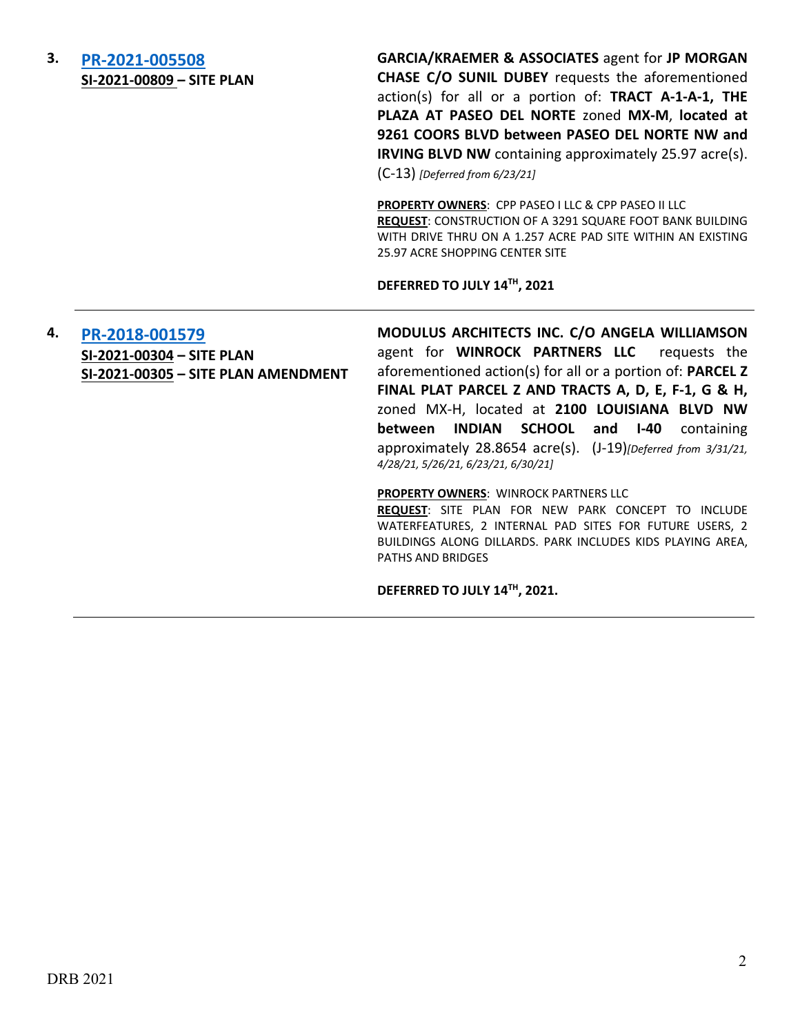| 3. | PR-2021-005508<br>SI-2021-00809 - SITE PLAN                                        | <b>GARCIA/KRAEMER &amp; ASSOCIATES agent for JP MORGAN</b><br>CHASE C/O SUNIL DUBEY requests the aforementioned<br>action(s) for all or a portion of: TRACT A-1-A-1, THE<br>PLAZA AT PASEO DEL NORTE zoned MX-M, located at<br>9261 COORS BLVD between PASEO DEL NORTE NW and<br><b>IRVING BLVD NW</b> containing approximately 25.97 acre(s).<br>$(C-13)$ [Deferred from 6/23/21]                                                        |
|----|------------------------------------------------------------------------------------|-------------------------------------------------------------------------------------------------------------------------------------------------------------------------------------------------------------------------------------------------------------------------------------------------------------------------------------------------------------------------------------------------------------------------------------------|
|    |                                                                                    | <b>PROPERTY OWNERS: CPP PASEO I LLC &amp; CPP PASEO II LLC</b><br>REQUEST: CONSTRUCTION OF A 3291 SQUARE FOOT BANK BUILDING<br>WITH DRIVE THRU ON A 1.257 ACRE PAD SITE WITHIN AN EXISTING<br>25.97 ACRE SHOPPING CENTER SITE                                                                                                                                                                                                             |
|    |                                                                                    | DEFERRED TO JULY 14TH, 2021                                                                                                                                                                                                                                                                                                                                                                                                               |
| 4. | PR-2018-001579<br>SI-2021-00304 - SITE PLAN<br>SI-2021-00305 - SITE PLAN AMENDMENT | MODULUS ARCHITECTS INC. C/O ANGELA WILLIAMSON<br>agent for WINROCK PARTNERS LLC requests the<br>aforementioned action(s) for all or a portion of: PARCEL Z<br>FINAL PLAT PARCEL Z AND TRACTS A, D, E, F-1, G & H,<br>zoned MX-H, located at 2100 LOUISIANA BLVD NW<br><b>INDIAN SCHOOL</b><br>and $I-40$<br>between<br>containing<br>approximately 28.8654 acre(s). (J-19) [Deferred from 3/31/21,<br>4/28/21, 5/26/21, 6/23/21, 6/30/21] |
|    |                                                                                    | <b>PROPERTY OWNERS: WINROCK PARTNERS LLC</b><br>REQUEST: SITE PLAN FOR NEW PARK CONCEPT TO INCLUDE                                                                                                                                                                                                                                                                                                                                        |
|    |                                                                                    | WATERFEATURES, 2 INTERNAL PAD SITES FOR FUTURE USERS, 2<br>BUILDINGS ALONG DILLARDS. PARK INCLUDES KIDS PLAYING AREA,<br>PATHS AND BRIDGES                                                                                                                                                                                                                                                                                                |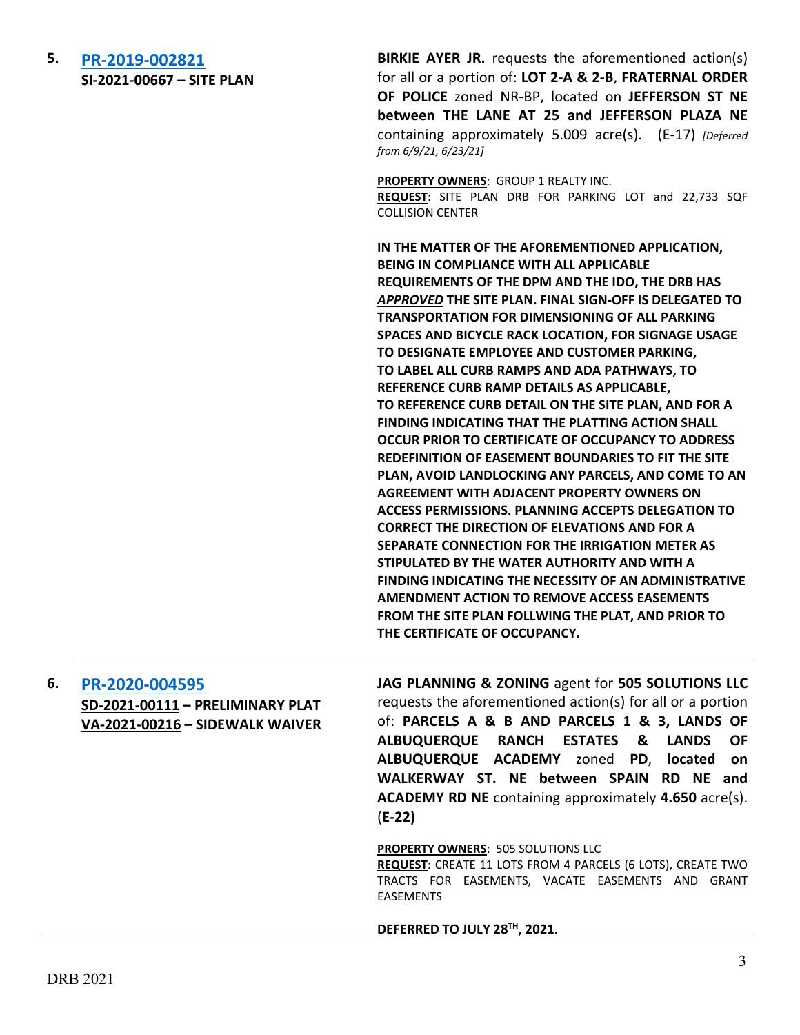**5. [PR-2019-002821](http://data.cabq.gov/government/planning/DRB/PR-2019-002821/DRB%20Submittals/) SI-2021-00667 – SITE PLAN**

**BIRKIE AYER JR.** requests the aforementioned action(s) for all or a portion of: **LOT 2-A & 2-B**, **FRATERNAL ORDER OF POLICE** zoned NR-BP, located on **JEFFERSON ST NE between THE LANE AT 25 and JEFFERSON PLAZA NE** containing approximately 5.009 acre(s). (E-17) *[Deferred from 6/9/21, 6/23/21]*

**PROPERTY OWNERS**: GROUP 1 REALTY INC. **REQUEST**: SITE PLAN DRB FOR PARKING LOT and 22,733 SQF COLLISION CENTER

**IN THE MATTER OF THE AFOREMENTIONED APPLICATION, BEING IN COMPLIANCE WITH ALL APPLICABLE REQUIREMENTS OF THE DPM AND THE IDO, THE DRB HAS**  *APPROVED* **THE SITE PLAN. FINAL SIGN-OFF IS DELEGATED TO TRANSPORTATION FOR DIMENSIONING OF ALL PARKING SPACES AND BICYCLE RACK LOCATION, FOR SIGNAGE USAGE TO DESIGNATE EMPLOYEE AND CUSTOMER PARKING, TO LABEL ALL CURB RAMPS AND ADA PATHWAYS, TO REFERENCE CURB RAMP DETAILS AS APPLICABLE, TO REFERENCE CURB DETAIL ON THE SITE PLAN, AND FOR A FINDING INDICATING THAT THE PLATTING ACTION SHALL OCCUR PRIOR TO CERTIFICATE OF OCCUPANCY TO ADDRESS REDEFINITION OF EASEMENT BOUNDARIES TO FIT THE SITE PLAN, AVOID LANDLOCKING ANY PARCELS, AND COME TO AN AGREEMENT WITH ADJACENT PROPERTY OWNERS ON ACCESS PERMISSIONS. PLANNING ACCEPTS DELEGATION TO CORRECT THE DIRECTION OF ELEVATIONS AND FOR A SEPARATE CONNECTION FOR THE IRRIGATION METER AS STIPULATED BY THE WATER AUTHORITY AND WITH A FINDING INDICATING THE NECESSITY OF AN ADMINISTRATIVE AMENDMENT ACTION TO REMOVE ACCESS EASEMENTS FROM THE SITE PLAN FOLLWING THE PLAT, AND PRIOR TO THE CERTIFICATE OF OCCUPANCY.** 

| 6. | PR-2020-004595                   |
|----|----------------------------------|
|    | SD-2021-00111 - PRELIMINARY PLAT |
|    | VA-2021-00216 - SIDEWALK WAIVER  |

**JAG PLANNING & ZONING** agent for **505 SOLUTIONS LLC** requests the aforementioned action(s) for all or a portion of: **PARCELS A & B AND PARCELS 1 & 3, LANDS OF ALBUQUERQUE RANCH ESTATES & LANDS OF ALBUQUERQUE ACADEMY** zoned **PD**, **located on WALKERWAY ST. NE between SPAIN RD NE and ACADEMY RD NE** containing approximately **4.650** acre(s). (**E-22)**

**PROPERTY OWNERS**: 505 SOLUTIONS LLC

**REQUEST**: CREATE 11 LOTS FROM 4 PARCELS (6 LOTS), CREATE TWO TRACTS FOR EASEMENTS, VACATE EASEMENTS AND GRANT EASEMENTS

**DEFERRED TO JULY 28TH, 2021.**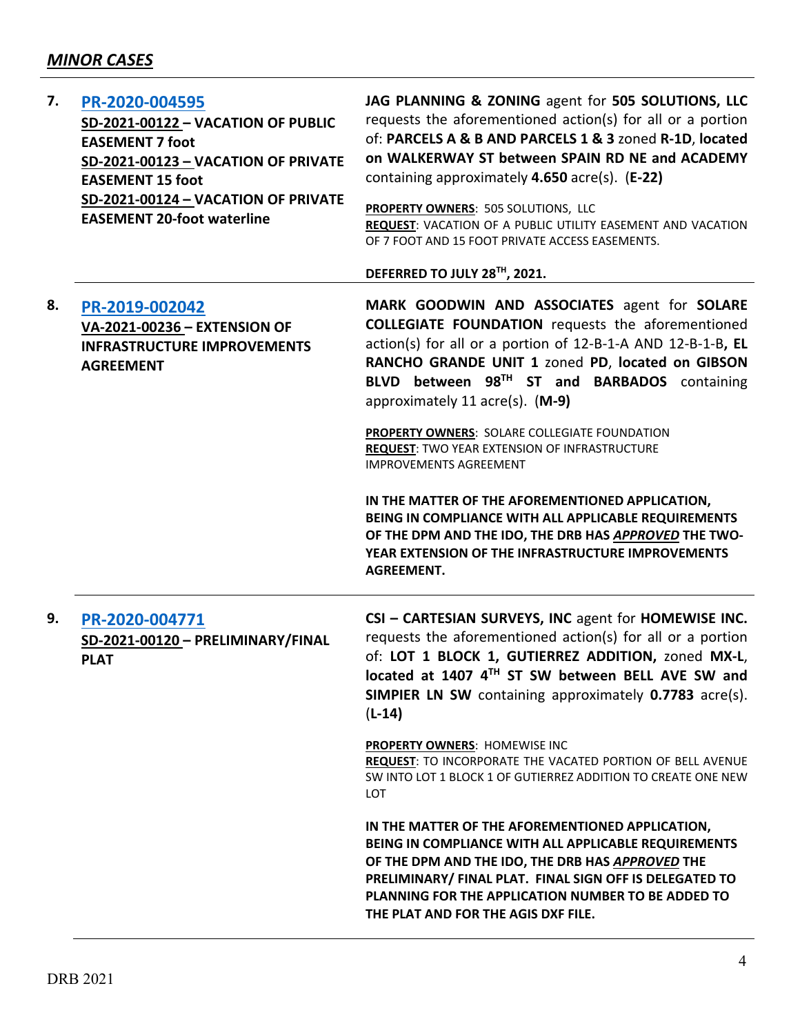| 7. | PR-2020-004595<br>SD-2021-00122 - VACATION OF PUBLIC<br><b>EASEMENT 7 foot</b><br>SD-2021-00123 - VACATION OF PRIVATE<br><b>EASEMENT 15 foot</b><br>SD-2021-00124 - VACATION OF PRIVATE<br><b>EASEMENT 20-foot waterline</b> | JAG PLANNING & ZONING agent for 505 SOLUTIONS, LLC<br>requests the aforementioned action(s) for all or a portion<br>of: PARCELS A & B AND PARCELS 1 & 3 zoned R-1D, located<br>on WALKERWAY ST between SPAIN RD NE and ACADEMY<br>containing approximately 4.650 acre(s). (E-22)<br>PROPERTY OWNERS: 505 SOLUTIONS, LLC<br>REQUEST: VACATION OF A PUBLIC UTILITY EASEMENT AND VACATION<br>OF 7 FOOT AND 15 FOOT PRIVATE ACCESS EASEMENTS. |
|----|------------------------------------------------------------------------------------------------------------------------------------------------------------------------------------------------------------------------------|-------------------------------------------------------------------------------------------------------------------------------------------------------------------------------------------------------------------------------------------------------------------------------------------------------------------------------------------------------------------------------------------------------------------------------------------|
|    |                                                                                                                                                                                                                              | DEFERRED TO JULY 28TH, 2021.                                                                                                                                                                                                                                                                                                                                                                                                              |
| 8. | PR-2019-002042<br>VA-2021-00236 - EXTENSION OF<br><b>INFRASTRUCTURE IMPROVEMENTS</b><br><b>AGREEMENT</b>                                                                                                                     | MARK GOODWIN AND ASSOCIATES agent for SOLARE<br><b>COLLEGIATE FOUNDATION</b> requests the aforementioned<br>action(s) for all or a portion of 12-B-1-A AND 12-B-1-B, EL<br>RANCHO GRANDE UNIT 1 zoned PD, located on GIBSON<br>BLVD between 98TH ST and BARBADOS containing<br>approximately 11 acre(s). (M-9)                                                                                                                            |
|    |                                                                                                                                                                                                                              | PROPERTY OWNERS: SOLARE COLLEGIATE FOUNDATION<br>REQUEST: TWO YEAR EXTENSION OF INFRASTRUCTURE<br><b>IMPROVEMENTS AGREEMENT</b>                                                                                                                                                                                                                                                                                                           |
|    |                                                                                                                                                                                                                              | IN THE MATTER OF THE AFOREMENTIONED APPLICATION,<br>BEING IN COMPLIANCE WITH ALL APPLICABLE REQUIREMENTS<br>OF THE DPM AND THE IDO, THE DRB HAS APPROVED THE TWO-<br>YEAR EXTENSION OF THE INFRASTRUCTURE IMPROVEMENTS<br><b>AGREEMENT.</b>                                                                                                                                                                                               |
| 9. | PR-2020-004771<br>SD-2021-00120 - PRELIMINARY/FINAL<br><b>PLAT</b>                                                                                                                                                           | CSI - CARTESIAN SURVEYS, INC agent for HOMEWISE INC.<br>requests the aforementioned action(s) for all or a portion<br>of: LOT 1 BLOCK 1, GUTIERREZ ADDITION, zoned MX-L,<br>located at 1407 4TH ST SW between BELL AVE SW and<br><b>SIMPIER LN SW</b> containing approximately 0.7783 acre(s).<br>$(L-14)$                                                                                                                                |
|    |                                                                                                                                                                                                                              | PROPERTY OWNERS: HOMEWISE INC<br>REQUEST: TO INCORPORATE THE VACATED PORTION OF BELL AVENUE<br>SW INTO LOT 1 BLOCK 1 OF GUTIERREZ ADDITION TO CREATE ONE NEW<br><b>LOT</b>                                                                                                                                                                                                                                                                |
|    |                                                                                                                                                                                                                              | IN THE MATTER OF THE AFOREMENTIONED APPLICATION,<br>BEING IN COMPLIANCE WITH ALL APPLICABLE REQUIREMENTS<br>OF THE DPM AND THE IDO, THE DRB HAS APPROVED THE<br>PRELIMINARY/ FINAL PLAT. FINAL SIGN OFF IS DELEGATED TO<br>PLANNING FOR THE APPLICATION NUMBER TO BE ADDED TO<br>THE PLAT AND FOR THE AGIS DXF FILE.                                                                                                                      |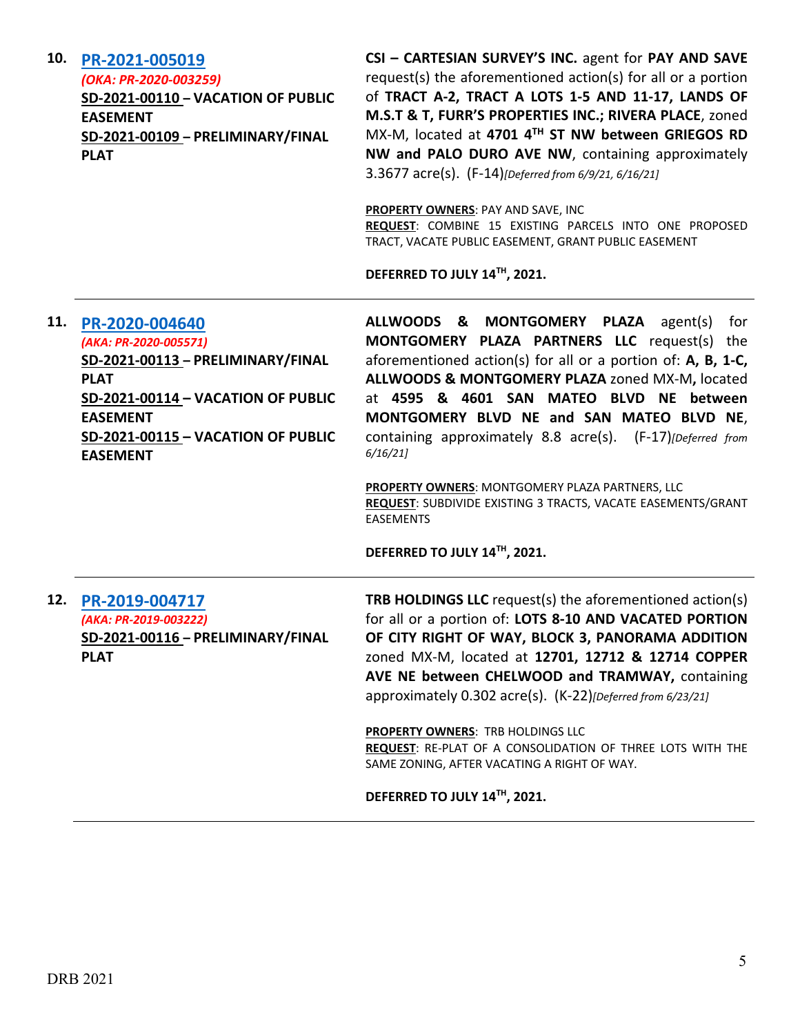| 10. | PR-2021-005019<br>(OKA: PR-2020-003259)<br>SD-2021-00110 - VACATION OF PUBLIC<br><b>EASEMENT</b><br>SD-2021-00109 - PRELIMINARY/FINAL<br><b>PLAT</b>                                                          | CSI - CARTESIAN SURVEY'S INC. agent for PAY AND SAVE<br>request(s) the aforementioned action(s) for all or a portion<br>of TRACT A-2, TRACT A LOTS 1-5 AND 11-17, LANDS OF<br>M.S.T & T, FURR'S PROPERTIES INC.; RIVERA PLACE, zoned<br>MX-M, located at 4701 4TH ST NW between GRIEGOS RD<br>NW and PALO DURO AVE NW, containing approximately<br>3.3677 acre(s). (F-14)[Deferred from 6/9/21, 6/16/21]<br><b>PROPERTY OWNERS: PAY AND SAVE, INC</b><br>REQUEST: COMBINE 15 EXISTING PARCELS INTO ONE PROPOSED<br>TRACT, VACATE PUBLIC EASEMENT, GRANT PUBLIC EASEMENT<br>DEFERRED TO JULY 14™, 2021. |
|-----|---------------------------------------------------------------------------------------------------------------------------------------------------------------------------------------------------------------|--------------------------------------------------------------------------------------------------------------------------------------------------------------------------------------------------------------------------------------------------------------------------------------------------------------------------------------------------------------------------------------------------------------------------------------------------------------------------------------------------------------------------------------------------------------------------------------------------------|
| 11. | PR-2020-004640<br>(AKA: PR-2020-005571)<br>SD-2021-00113 - PRELIMINARY/FINAL<br><b>PLAT</b><br>SD-2021-00114 - VACATION OF PUBLIC<br><b>EASEMENT</b><br>SD-2021-00115 - VACATION OF PUBLIC<br><b>EASEMENT</b> | ALLWOODS & MONTGOMERY PLAZA agent(s)<br>for<br>MONTGOMERY PLAZA PARTNERS LLC request(s) the<br>aforementioned action(s) for all or a portion of: A, B, 1-C,<br>ALLWOODS & MONTGOMERY PLAZA zoned MX-M, located<br>at 4595 & 4601 SAN MATEO BLVD NE between<br>MONTGOMERY BLVD NE and SAN MATEO BLVD NE,<br>containing approximately 8.8 acre(s). (F-17) [Deferred from<br>6/16/21<br>PROPERTY OWNERS: MONTGOMERY PLAZA PARTNERS, LLC<br>REQUEST: SUBDIVIDE EXISTING 3 TRACTS, VACATE EASEMENTS/GRANT<br><b>EASEMENTS</b><br>DEFERRED TO JULY 14™, 2021.                                                |
| 12. | PR-2019-004717<br>(AKA: PR-2019-003222)<br><u>SD-2021-00116 - PRELIMINARY/FINAL</u><br><b>PLAT</b>                                                                                                            | <b>TRB HOLDINGS LLC</b> request(s) the aforementioned action(s)<br>for all or a portion of: LOTS 8-10 AND VACATED PORTION<br>OF CITY RIGHT OF WAY, BLOCK 3, PANORAMA ADDITION<br>zoned MX-M, located at 12701, 12712 & 12714 COPPER<br>AVE NE between CHELWOOD and TRAMWAY, containing<br>approximately 0.302 acre(s). (K-22)[Deferred from 6/23/21]<br>PROPERTY OWNERS: TRB HOLDINGS LLC<br>REQUEST: RE-PLAT OF A CONSOLIDATION OF THREE LOTS WITH THE<br>SAME ZONING, AFTER VACATING A RIGHT OF WAY.<br>DEFERRED TO JULY 14TH, 2021.                                                                 |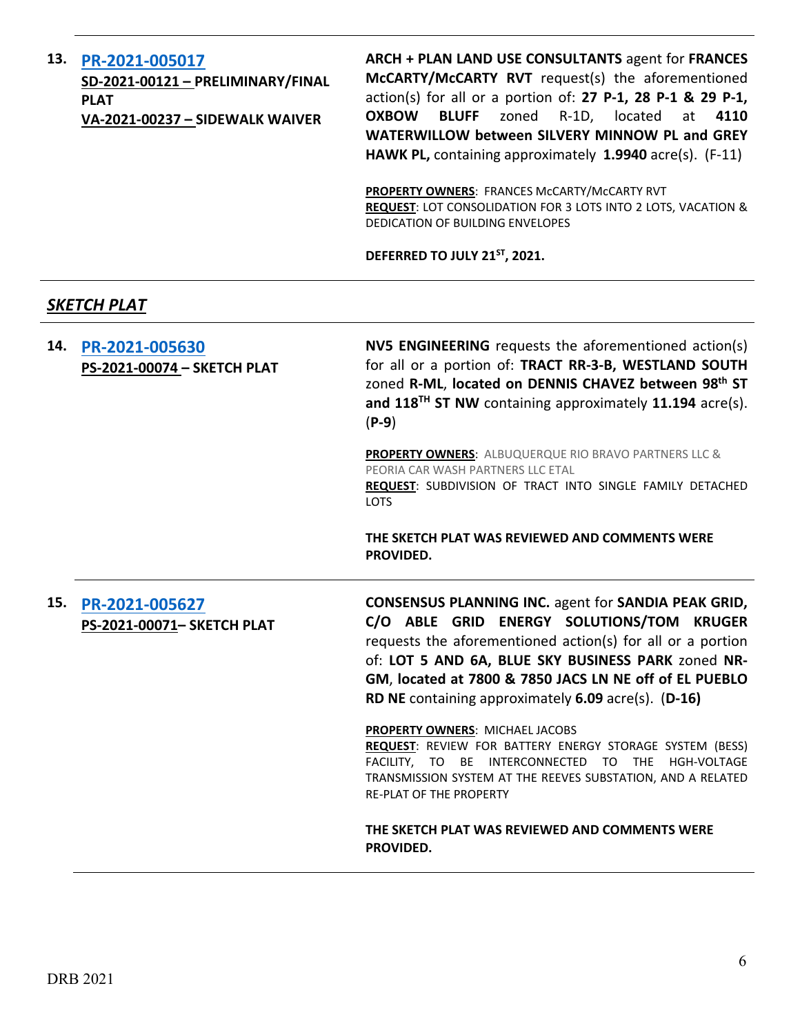# **13. [PR-2021-005017](http://data.cabq.gov/government/planning/DRB/PR-2021-005017/DRB%20Submittals/PR-2021-005017_June_30_2021/Application/)**

**SD-2021-00121 – PRELIMINARY/FINAL PLAT VA-2021-00237 – SIDEWALK WAIVER**

**ARCH + PLAN LAND USE CONSULTANTS** agent for **FRANCES McCARTY/McCARTY RVT** request(s) the aforementioned action(s) for all or a portion of: **27 P-1, 28 P-1 & 29 P-1, OXBOW BLUFF** zoned R-1D, located at **4110 WATERWILLOW between SILVERY MINNOW PL and GREY HAWK PL,** containing approximately **1.9940** acre(s). (F-11)

**PROPERTY OWNERS**: FRANCES McCARTY/McCARTY RVT **REQUEST**: LOT CONSOLIDATION FOR 3 LOTS INTO 2 LOTS, VACATION & DEDICATION OF BUILDING ENVELOPES

**DEFERRED TO JULY 21ST, 2021.**

### *SKETCH PLAT*

| 14. | PR-2021-005630<br>PS-2021-00074 - SKETCH PLAT | NV5 ENGINEERING requests the aforementioned action(s)<br>for all or a portion of: TRACT RR-3-B, WESTLAND SOUTH<br>zoned R-ML, located on DENNIS CHAVEZ between 98th ST<br>and 118 <sup>TH</sup> ST NW containing approximately 11.194 acre(s).<br>$(P-9)$                                                                                      |
|-----|-----------------------------------------------|------------------------------------------------------------------------------------------------------------------------------------------------------------------------------------------------------------------------------------------------------------------------------------------------------------------------------------------------|
|     |                                               | <b>PROPERTY OWNERS: ALBUQUERQUE RIO BRAVO PARTNERS LLC &amp;</b><br>PEORIA CAR WASH PARTNERS LLC ETAL<br>REQUEST: SUBDIVISION OF TRACT INTO SINGLE FAMILY DETACHED<br><b>LOTS</b>                                                                                                                                                              |
|     |                                               | THE SKETCH PLAT WAS REVIEWED AND COMMENTS WERE<br>PROVIDED.                                                                                                                                                                                                                                                                                    |
| 15. | PR-2021-005627<br>PS-2021-00071- SKETCH PLAT  | <b>CONSENSUS PLANNING INC. agent for SANDIA PEAK GRID,</b><br>C/O ABLE GRID ENERGY SOLUTIONS/TOM KRUGER<br>requests the aforementioned action(s) for all or a portion<br>of: LOT 5 AND 6A, BLUE SKY BUSINESS PARK zoned NR-<br>GM, located at 7800 & 7850 JACS LN NE off of EL PUEBLO<br>RD NE containing approximately $6.09$ acre(s). (D-16) |
|     |                                               | PROPERTY OWNERS: MICHAEL JACOBS<br>REQUEST: REVIEW FOR BATTERY ENERGY STORAGE SYSTEM (BESS)<br>FACILITY, TO BE INTERCONNECTED TO THE<br>HGH-VOLTAGE<br>TRANSMISSION SYSTEM AT THE REEVES SUBSTATION, AND A RELATED<br><b>RE-PLAT OF THE PROPERTY</b>                                                                                           |
|     |                                               | THE SKETCH PLAT WAS REVIEWED AND COMMENTS WERE<br>PROVIDED.                                                                                                                                                                                                                                                                                    |
|     |                                               |                                                                                                                                                                                                                                                                                                                                                |